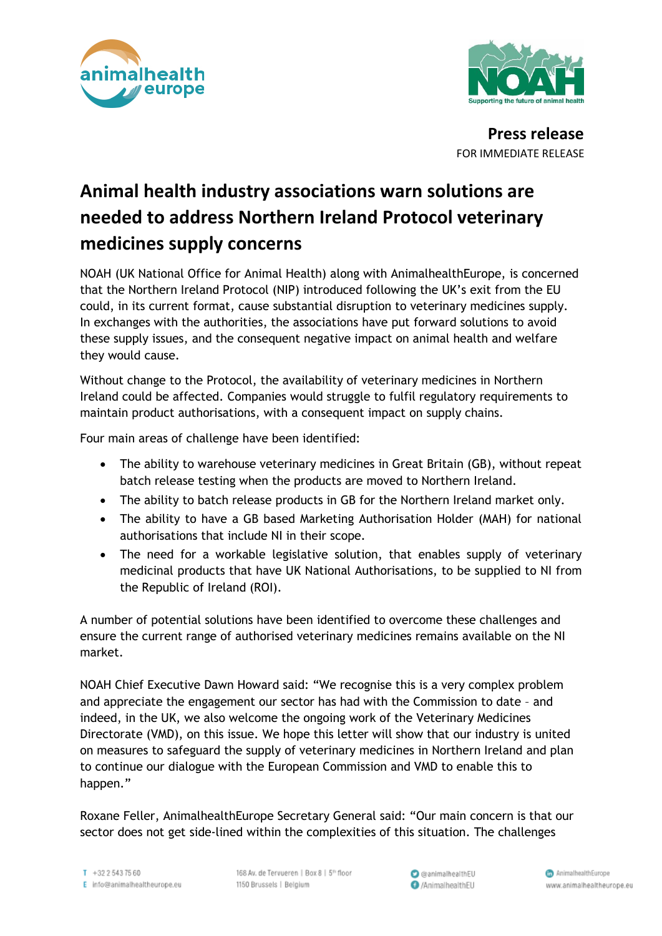



**Press release** FOR IMMEDIATE RELEASE

## **Animal health industry associations warn solutions are needed to address Northern Ireland Protocol veterinary medicines supply concerns**

NOAH (UK National Office for Animal Health) along with AnimalhealthEurope, is concerned that the Northern Ireland Protocol (NIP) introduced following the UK's exit from the EU could, in its current format, cause substantial disruption to veterinary medicines supply. In exchanges with the authorities, the associations have put forward solutions to avoid these supply issues, and the consequent negative impact on animal health and welfare they would cause.

Without change to the Protocol, the availability of veterinary medicines in Northern Ireland could be affected. Companies would struggle to fulfil regulatory requirements to maintain product authorisations, with a consequent impact on supply chains.

Four main areas of challenge have been identified:

- The ability to warehouse veterinary medicines in Great Britain (GB), without repeat batch release testing when the products are moved to Northern Ireland.
- The ability to batch release products in GB for the Northern Ireland market only.
- The ability to have a GB based Marketing Authorisation Holder (MAH) for national authorisations that include NI in their scope.
- The need for a workable legislative solution, that enables supply of veterinary medicinal products that have UK National Authorisations, to be supplied to NI from the Republic of Ireland (ROI).

A number of potential solutions have been identified to overcome these challenges and ensure the current range of authorised veterinary medicines remains available on the NI market.

NOAH Chief Executive Dawn Howard said: "We recognise this is a very complex problem and appreciate the engagement our sector has had with the Commission to date – and indeed, in the UK, we also welcome the ongoing work of the Veterinary Medicines Directorate (VMD), on this issue. We hope this letter will show that our industry is united on measures to safeguard the supply of veterinary medicines in Northern Ireland and plan to continue our dialogue with the European Commission and VMD to enable this to happen."

Roxane Feller, AnimalhealthEurope Secretary General said: "Our main concern is that our sector does not get side-lined within the complexities of this situation. The challenges